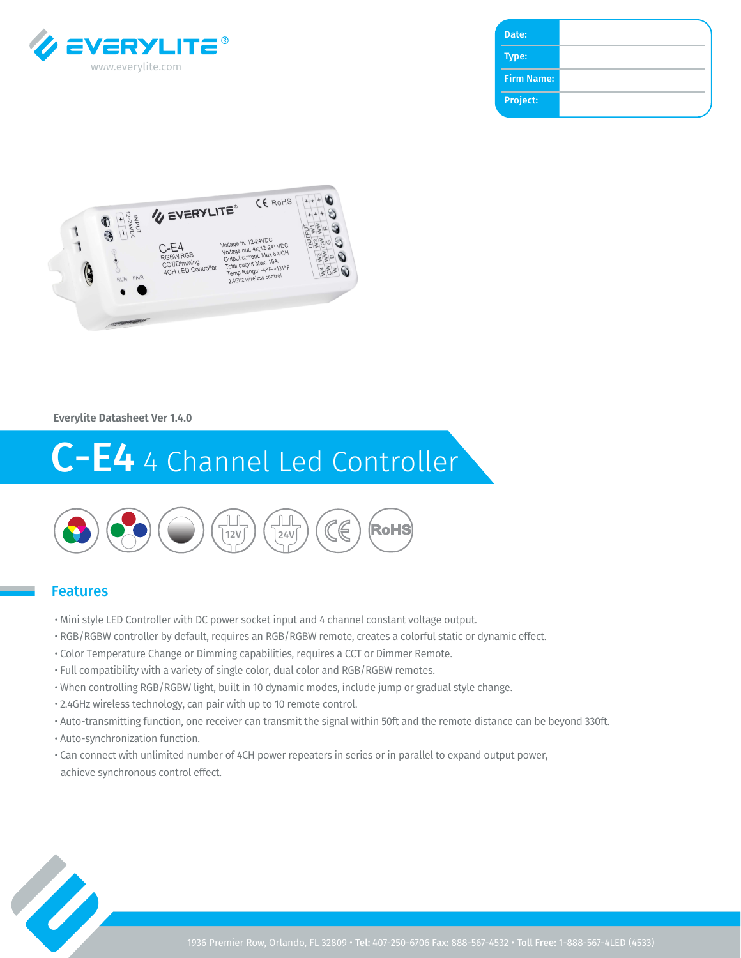

| Date:             |  |
|-------------------|--|
| Type:             |  |
| <b>Firm Name:</b> |  |
| Project:          |  |



**Everylite Datasheet Ver 1.4.0**

# C-E4 4 Channel Led Controller



#### Features

- Mini style LED Controller with DC power socket input and 4 channel constant voltage output.
- RGB/RGBW controller by default, requires an RGB/RGBW remote, creates a colorful static or dynamic effect.
- Color Temperature Change or Dimming capabilities, requires a CCT or Dimmer Remote.
- Full compatibility with a variety of single color, dual color and RGB/RGBW remotes.
- When controlling RGB/RGBW light, built in 10 dynamic modes, include jump or gradual style change.
- 2.4GHz wireless technology, can pair with up to 10 remote control.
- Auto-transmitting function, one receiver can transmit the signal within 50ft and the remote distance can be beyond 330ft.
- Auto-synchronization function.
- Can connect with unlimited number of 4CH power repeaters in series or in parallel to expand output power, achieve synchronous control effect.

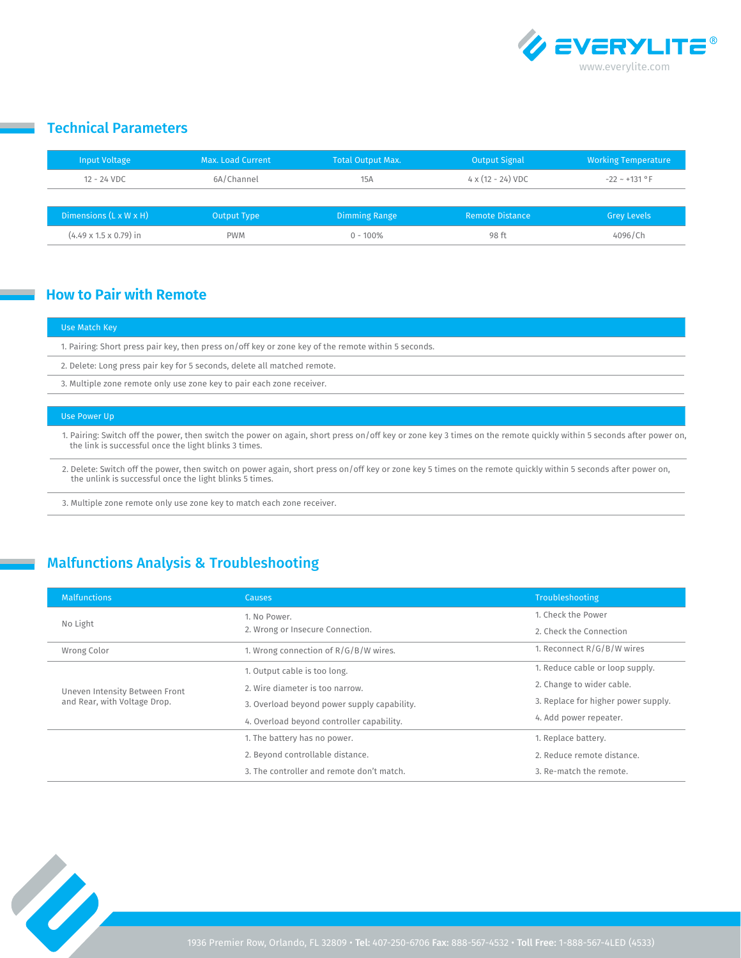

## Technical Parameters

| Input Voltage                      | Max. Load Current | <b>Total Output Max.</b> | <b>Output Signal</b>             | <b>Working Temperature</b> |
|------------------------------------|-------------------|--------------------------|----------------------------------|----------------------------|
| 12 - 24 VDC                        | 6A/Channel        | 15A                      | $4 \times (12 - 24) \text{ VDC}$ | $-22 \sim +131$ °F         |
|                                    |                   |                          |                                  |                            |
| Dimensions $(L \times W \times H)$ | Output Type       | <b>Dimming Range</b>     | <b>Remote Distance</b>           | <b>Grey Levels</b>         |
| $(4.49 \times 1.5 \times 0.79)$ in | <b>PWM</b>        | $0 - 100\%$              | 98 ft                            | 4096/Ch                    |

### **How to Pair with Remote**

#### Use Match Key

1. Pairing: Short press pair key, then press on/off key or zone key of the remote within 5 seconds.

2. Delete: Long press pair key for 5 seconds, delete all matched remote.

3. Multiple zone remote only use zone key to pair each zone receiver.

#### Use Power Up

1. Pairing: Switch off the power, then switch the power on again, short press on/off key or zone key 3 times on the remote quickly within 5 seconds after power on, the link is successful once the light blinks 3 times.

2. Delete: Switch off the power, then switch on power again, short press on/off key or zone key 5 times on the remote quickly within 5 seconds after power on, the unlink is successful once the light blinks 5 times.

3. Multiple zone remote only use zone key to match each zone receiver.

# Malfunctions Analysis & Troubleshooting

| <b>Malfunctions</b>                                            | <b>Causes</b>                               | <b>Troubleshooting</b>              |
|----------------------------------------------------------------|---------------------------------------------|-------------------------------------|
| No Light                                                       | 1. No Power.                                | 1. Check the Power                  |
|                                                                | 2. Wrong or Insecure Connection.            | 2. Check the Connection             |
| Wrong Color                                                    | 1. Wrong connection of R/G/B/W wires.       | 1. Reconnect R/G/B/W wires          |
| Uneven Intensity Between Front<br>and Rear, with Voltage Drop. | 1. Output cable is too long.                | 1. Reduce cable or loop supply.     |
|                                                                | 2. Wire diameter is too narrow.             | 2. Change to wider cable.           |
|                                                                | 3. Overload beyond power supply capability. | 3. Replace for higher power supply. |
|                                                                | 4. Overload beyond controller capability.   | 4. Add power repeater.              |
|                                                                | 1. The battery has no power.                | 1. Replace battery.                 |
|                                                                | 2. Beyond controllable distance.            | 2. Reduce remote distance.          |
|                                                                | 3. The controller and remote don't match.   | 3. Re-match the remote.             |

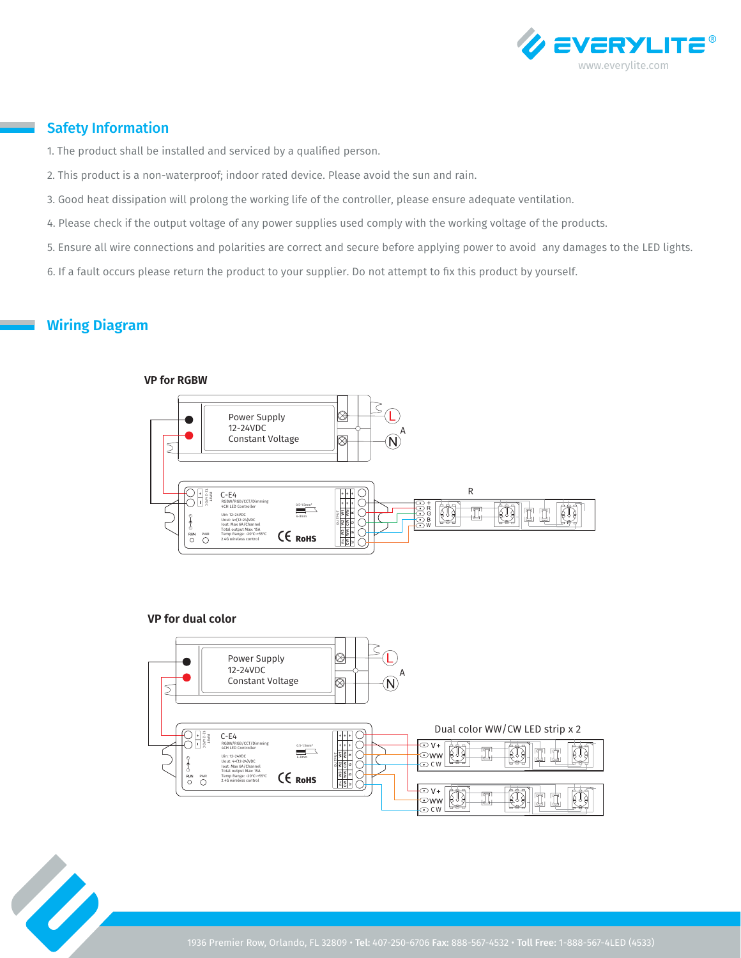

## Safety Information

- 1. The product shall be installed and serviced by a qualified person.
- 2. This product is a non-waterproof; indoor rated device. Please avoid the sun and rain.
- 3. Good heat dissipation will prolong the working life of the controller, please ensure adequate ventilation.
- 4. Please check if the output voltage of any power supplies used comply with the working voltage of the products.
- 5. Ensure all wire connections and polarities are correct and secure before applying power to avoid any damages to the LED lights.
- 6. If a fault occurs please return the product to your supplier. Do not attempt to fix this product by yourself.

# **Wiring Diagram**

#### **VP for RGBW**



#### **VP for dual color**